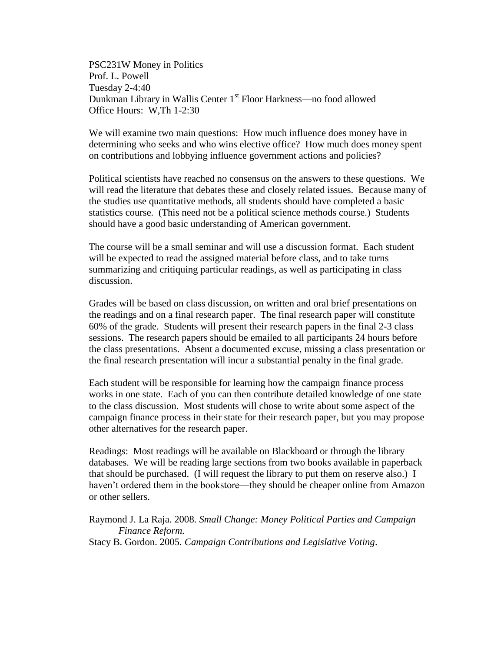PSC231W Money in Politics Prof. L. Powell Tuesday 2-4:40 Dunkman Library in Wallis Center 1<sup>st</sup> Floor Harkness—no food allowed Office Hours: W,Th 1-2:30

We will examine two main questions: How much influence does money have in determining who seeks and who wins elective office? How much does money spent on contributions and lobbying influence government actions and policies?

Political scientists have reached no consensus on the answers to these questions. We will read the literature that debates these and closely related issues. Because many of the studies use quantitative methods, all students should have completed a basic statistics course. (This need not be a political science methods course.) Students should have a good basic understanding of American government.

The course will be a small seminar and will use a discussion format. Each student will be expected to read the assigned material before class, and to take turns summarizing and critiquing particular readings, as well as participating in class discussion.

Grades will be based on class discussion, on written and oral brief presentations on the readings and on a final research paper. The final research paper will constitute 60% of the grade. Students will present their research papers in the final 2-3 class sessions. The research papers should be emailed to all participants 24 hours before the class presentations. Absent a documented excuse, missing a class presentation or the final research presentation will incur a substantial penalty in the final grade.

Each student will be responsible for learning how the campaign finance process works in one state. Each of you can then contribute detailed knowledge of one state to the class discussion. Most students will chose to write about some aspect of the campaign finance process in their state for their research paper, but you may propose other alternatives for the research paper.

Readings: Most readings will be available on Blackboard or through the library databases. We will be reading large sections from two books available in paperback that should be purchased. (I will request the library to put them on reserve also.) I haven't ordered them in the bookstore—they should be cheaper online from Amazon or other sellers.

Raymond J. La Raja. 2008. *Small Change: Money Political Parties and Campaign Finance Reform.* Stacy B. Gordon. 2005. *Campaign Contributions and Legislative Voting*.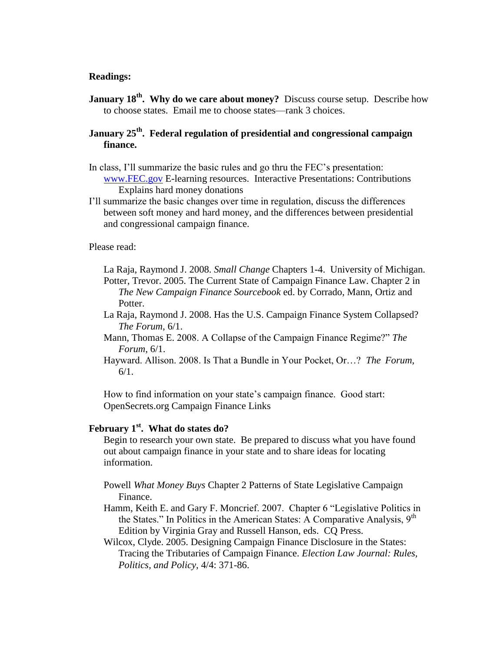#### **Readings:**

**January 18<sup>th</sup>. Why do we care about money?** Discuss course setup. Describe how to choose states. Email me to choose states—rank 3 choices.

**January 25th . Federal regulation of presidential and congressional campaign finance.** 

- In class, I'll summarize the basic rules and go thru the FEC's presentation: [www.FEC.gov](http://www.fec.gov/) E-learning resources. Interactive Presentations: Contributions Explains hard money donations
- I'll summarize the basic changes over time in regulation, discuss the differences between soft money and hard money, and the differences between presidential and congressional campaign finance.

Please read:

La Raja, Raymond J. 2008. *Small Change* Chapters 1-4. University of Michigan. Potter, Trevor. 2005. The Current State of Campaign Finance Law. Chapter 2 in *The New Campaign Finance Sourcebook* ed. by Corrado, Mann, Ortiz and Potter.

- La Raja, Raymond J. 2008. Has the U.S. Campaign Finance System Collapsed? *The Forum*, 6/1.
- Mann, Thomas E. 2008. A Collapse of the Campaign Finance Regime?" *The Forum*, 6/1.
- Hayward. Allison. 2008. Is That a Bundle in Your Pocket, Or…? *The Forum*, 6/1.

How to find information on your state's campaign finance. Good start: OpenSecrets.org Campaign Finance Links

# **February 1st . What do states do?**

Begin to research your own state. Be prepared to discuss what you have found out about campaign finance in your state and to share ideas for locating information.

Powell *What Money Buys* Chapter 2 Patterns of State Legislative Campaign Finance.

Hamm, Keith E. and Gary F. Moncrief. 2007. Chapter 6 "Legislative Politics in the States." In Politics in the American States: A Comparative Analysis,  $9<sup>th</sup>$ Edition by Virginia Gray and Russell Hanson, eds. CQ Press.

Wilcox, Clyde. 2005. Designing Campaign Finance Disclosure in the States: Tracing the Tributaries of Campaign Finance. *Election Law Journal: Rules, Politics, and Policy*, 4/4: 371-86.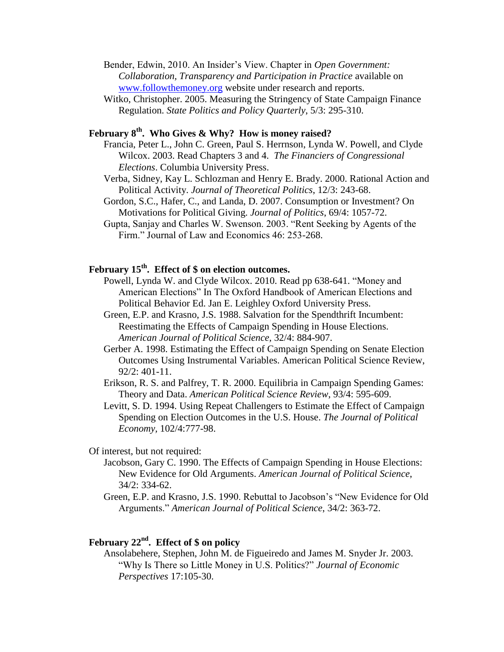Bender, Edwin, 2010. An Insider's View. Chapter in *Open Government: Collaboration, Transparency and Participation in Practice* available on [www.followthemoney.org](http://www.followthemoney.org/) website under research and reports.

Witko, Christopher. 2005. Measuring the Stringency of State Campaign Finance Regulation. *State Politics and Policy Quarterly*, 5/3: 295-310.

## **February 8th . Who Gives & Why? How is money raised?**

Francia, Peter L., John C. Green, Paul S. Herrnson, Lynda W. Powell, and Clyde Wilcox. 2003. Read Chapters 3 and 4. *The Financiers of Congressional Elections*. Columbia University Press.

- Verba, Sidney, Kay L. Schlozman and Henry E. Brady. 2000. Rational Action and Political Activity. *Journal of Theoretical Politics*, 12/3: 243-68.
- Gordon, S.C., Hafer, C., and Landa, D. 2007. Consumption or Investment? On Motivations for Political Giving. *Journal of Politics*, 69/4: 1057-72.
- Gupta, Sanjay and Charles W. Swenson. 2003. "Rent Seeking by Agents of the Firm." Journal of Law and Economics 46: 253-268.

## **February 15th . Effect of \$ on election outcomes.**

- Powell, Lynda W. and Clyde Wilcox. 2010. Read pp 638-641. "Money and American Elections" In The Oxford Handbook of American Elections and Political Behavior Ed. Jan E. Leighley Oxford University Press.
- Green, E.P. and Krasno, J.S. 1988. Salvation for the Spendthrift Incumbent: Reestimating the Effects of Campaign Spending in House Elections. *American Journal of Political Science,* 32/4: 884-907.
- Gerber A. 1998. Estimating the Effect of Campaign Spending on Senate Election Outcomes Using Instrumental Variables. American Political Science Review, 92/2: 401-11.
- Erikson, R. S. and Palfrey, T. R. 2000. Equilibria in Campaign Spending Games: Theory and Data. *American Political Science Review*, 93/4: 595-609.

Levitt, S. D. 1994. Using Repeat Challengers to Estimate the Effect of Campaign Spending on Election Outcomes in the U.S. House. *The Journal of Political Economy,* 102/4:777-98.

### Of interest, but not required:

- Jacobson, Gary C. 1990. [The Effects of Campaign Spending in House Elections:](http://www.jstor.org/stable/2111450?&Search=yes&searchText=salvation&searchText=spendthrift&searchText=incumbent&list=hide&searchUri=%2Faction%2FdoAdvancedSearch%3Fq0%3Dsalvation%2Bfor%2Bthe%2Bspendthrift%2Bincumbent%26f0%3Dall%26c1%3DAND%26q1%3D%26f1%3Dall%26acc%3Don%26wc%3Don%26Search%3DSearch%26sd%3D%26ed%3D%26la%3D%26jo%3D%26jc.PoliticalScience_AmericanJournalofPoliticalScience%3Dj100487&prevSearch=&item=6&ttl=17&returnArticleService=showFullText)  New [Evidence for Old Arguments.](http://www.jstor.org/stable/2111450?&Search=yes&searchText=salvation&searchText=spendthrift&searchText=incumbent&list=hide&searchUri=%2Faction%2FdoAdvancedSearch%3Fq0%3Dsalvation%2Bfor%2Bthe%2Bspendthrift%2Bincumbent%26f0%3Dall%26c1%3DAND%26q1%3D%26f1%3Dall%26acc%3Don%26wc%3Don%26Search%3DSearch%26sd%3D%26ed%3D%26la%3D%26jo%3D%26jc.PoliticalScience_AmericanJournalofPoliticalScience%3Dj100487&prevSearch=&item=6&ttl=17&returnArticleService=showFullText) *American Journal of Political Science*, 34/2: 334-62.
- Green, E.P. and Krasno, J.S. 1990. Rebuttal to Jacobson's "New Evidence for Old Arguments." *American Journal of Political Science*, 34/2: 363-72.

## **February 22nd . Effect of \$ on policy**

Ansolabehere, Stephen, John M. de Figueiredo and James M. Snyder Jr. 2003. "Why Is There so Little Money in U.S. Politics?" *Journal of Economic Perspectives* 17:105-30.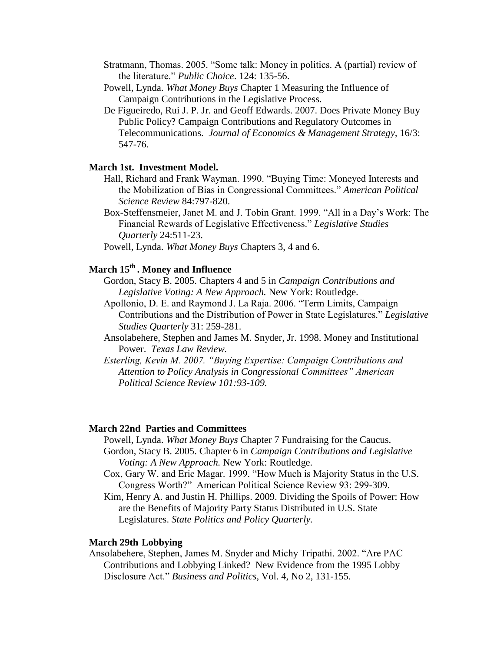- Stratmann, Thomas. 2005. "Some talk: Money in politics. A (partial) review of the literature." *Public Choice*. 124: 135-56.
- Powell, Lynda. *What Money Buys* Chapter 1 Measuring the Influence of Campaign Contributions in the Legislative Process.
- De Figueiredo, Rui J. P. Jr. and Geoff Edwards. 2007. Does Private Money Buy Public Policy? Campaign Contributions and Regulatory Outcomes in Telecommunications. *Journal of Economics & Management Strategy,* 16/3: 547-76.

#### **March 1st. Investment Model.**

- Hall, Richard and Frank Wayman. 1990. "Buying Time: Moneyed Interests and the Mobilization of Bias in Congressional Committees." *American Political Science Review* 84:797-820.
- Box-Steffensmeier, Janet M. and J. Tobin Grant. 1999. "All in a Day's Work: The Financial Rewards of Legislative Effectiveness." *Legislative Studies Quarterly* 24:511-23.
- Powell, Lynda. *What Money Buys* Chapters 3, 4 and 6.

# **March 15th . Money and Influence**

- Gordon, Stacy B. 2005. Chapters 4 and 5 in *Campaign Contributions and Legislative Voting: A New Approach.* New York: Routledge.
- Apollonio, D. E. and Raymond J. La Raja. 2006. "Term Limits, Campaign Contributions and the Distribution of Power in State Legislatures." *Legislative Studies Quarterly* 31: 259-281.
- Ansolabehere, Stephen and James M. Snyder, Jr. 1998. Money and Institutional Power. *Texas Law Review.*
- *Esterling, Kevin M. 2007. "Buying Expertise: Campaign Contributions and Attention to Policy Analysis in Congressional Committees" American Political Science Review 101:93-109.*

#### **March 22nd Parties and Committees**

- Powell, Lynda. *What Money Buys* Chapter 7 Fundraising for the Caucus. Gordon, Stacy B. 2005. Chapter 6 in *Campaign Contributions and Legislative Voting: A New Approach.* New York: Routledge.
- Cox, Gary W. and Eric Magar. 1999. "How Much is Majority Status in the U.S. Congress Worth?" American Political Science Review 93: 299-309.
- Kim, Henry A. and Justin H. Phillips. 2009. Dividing the Spoils of Power: How are the Benefits of Majority Party Status Distributed in U.S. State Legislatures. *State Politics and Policy Quarterly.*

#### **March 29th Lobbying**

Ansolabehere, Stephen, James M. Snyder and Michy Tripathi. 2002. "Are PAC Contributions and Lobbying Linked? New Evidence from the 1995 Lobby Disclosure Act." *Business and Politics*, Vol. 4, No 2, 131-155.